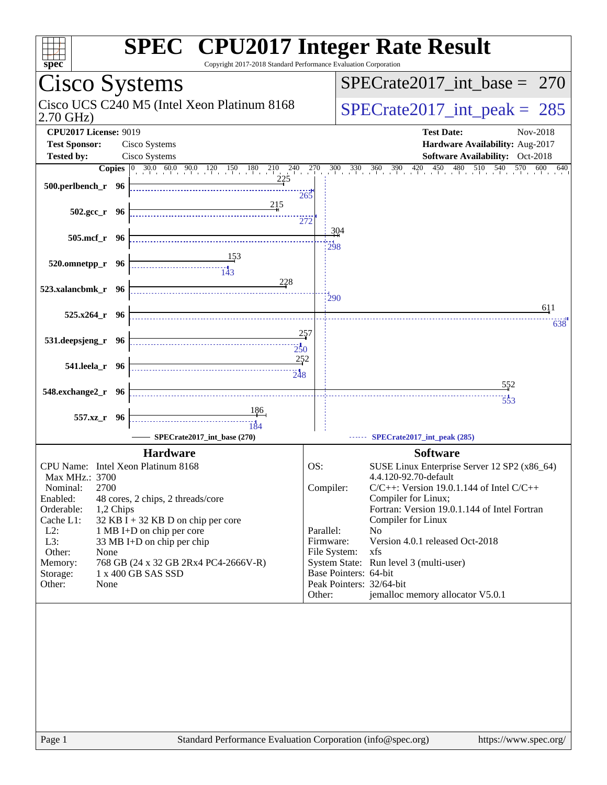| $spec*$                                              | <b>SPEC<sup>®</sup></b> CPU2017 Integer Rate Result<br>Copyright 2017-2018 Standard Performance Evaluation Corporation                                                |        |                          |                                                                                |
|------------------------------------------------------|-----------------------------------------------------------------------------------------------------------------------------------------------------------------------|--------|--------------------------|--------------------------------------------------------------------------------|
| Cisco Systems                                        |                                                                                                                                                                       |        |                          | $SPECrate2017\_int\_base = 270$                                                |
| 2.70 GHz)                                            | Cisco UCS C240 M5 (Intel Xeon Platinum 8168                                                                                                                           |        |                          | $SPECrate2017\_int\_peak = 285$                                                |
| <b>CPU2017 License: 9019</b><br><b>Test Sponsor:</b> | Cisco Systems                                                                                                                                                         |        |                          | <b>Test Date:</b><br>Nov-2018<br>Hardware Availability: Aug-2017               |
|                                                      |                                                                                                                                                                       |        |                          |                                                                                |
| <b>Tested by:</b>                                    | Cisco Systems                                                                                                                                                         |        |                          | Software Availability: Oct-2018                                                |
| 500.perlbench_r 96                                   | <b>Copies</b> $\begin{bmatrix} 0 & 30.0 & 60.0 & 90.0 & 120 & 150 & 180 & 210 & 240 & 270 \end{bmatrix}$<br>225<br><u>215</u>                                         | 265    |                          | $480 - 510$<br>$540$ $570$ $600$ $640$<br>$300$ $330$ $360$ $390$ $420$<br>450 |
| $502.\text{gcc r}$ 96                                |                                                                                                                                                                       | 272    | 304                      |                                                                                |
| 505.mcf_r 96                                         |                                                                                                                                                                       |        | 298                      |                                                                                |
| 520.omnetpp_r 96                                     | $\begin{array}{c c c c c} \hline \quad \text{} & \quad \text{} \\ \hline \quad \text{} & \quad \text{} \\ \hline \quad \text{} & \quad \text{} \\ \hline \end{array}$ |        |                          |                                                                                |
| 523.xalancbmk_r 96                                   | 228                                                                                                                                                                   |        | 290                      |                                                                                |
| $525.x264_r$ 96                                      |                                                                                                                                                                       |        |                          | 611                                                                            |
|                                                      |                                                                                                                                                                       |        |                          | 638                                                                            |
| 531.deepsjeng_r 96                                   | 250                                                                                                                                                                   | 257    |                          |                                                                                |
| 541.leela_r 96                                       | 252<br>$\frac{1}{248}$                                                                                                                                                |        |                          |                                                                                |
| 548.exchange2_r 96                                   |                                                                                                                                                                       |        |                          | 552                                                                            |
|                                                      |                                                                                                                                                                       |        |                          | $\frac{1}{553}$                                                                |
| 557.xz_r 96                                          |                                                                                                                                                                       |        |                          |                                                                                |
|                                                      |                                                                                                                                                                       |        |                          |                                                                                |
|                                                      | SPECrate2017_int_base (270)                                                                                                                                           |        |                          | SPECrate2017_int_peak (285)                                                    |
|                                                      | <b>Hardware</b>                                                                                                                                                       |        |                          | <b>Software</b>                                                                |
| CPU Name: Intel Xeon Platinum 8168                   |                                                                                                                                                                       | OS:    |                          | SUSE Linux Enterprise Server 12 SP2 (x86_64)                                   |
| Max MHz.: 3700                                       |                                                                                                                                                                       |        |                          | 4.4.120-92.70-default                                                          |
| 2700<br>Nominal:                                     |                                                                                                                                                                       |        | Compiler:                | $C/C++$ : Version 19.0.1.144 of Intel $C/C++$                                  |
| Enabled:                                             | 48 cores, 2 chips, 2 threads/core                                                                                                                                     |        |                          | Compiler for Linux;                                                            |
| Orderable:<br>1,2 Chips                              |                                                                                                                                                                       |        |                          | Fortran: Version 19.0.1.144 of Intel Fortran                                   |
| Cache L1:                                            | $32$ KB I + 32 KB D on chip per core                                                                                                                                  |        |                          | Compiler for Linux                                                             |
| $L2$ :                                               | 1 MB I+D on chip per core                                                                                                                                             |        | Parallel:                | No                                                                             |
| L3:                                                  | 33 MB I+D on chip per chip                                                                                                                                            |        | Firmware:                | Version 4.0.1 released Oct-2018                                                |
| Other:<br>None                                       |                                                                                                                                                                       |        | File System:             | xfs                                                                            |
| Memory:                                              | 768 GB (24 x 32 GB 2Rx4 PC4-2666V-R)<br>1 x 400 GB SAS SSD                                                                                                            |        | Base Pointers: 64-bit    | System State: Run level 3 (multi-user)                                         |
| Storage:<br>Other:<br>None                           |                                                                                                                                                                       |        | Peak Pointers: 32/64-bit |                                                                                |
|                                                      |                                                                                                                                                                       | Other: |                          | jemalloc memory allocator V5.0.1                                               |
|                                                      |                                                                                                                                                                       |        |                          |                                                                                |
|                                                      |                                                                                                                                                                       |        |                          |                                                                                |
|                                                      |                                                                                                                                                                       |        |                          |                                                                                |
|                                                      |                                                                                                                                                                       |        |                          |                                                                                |
|                                                      |                                                                                                                                                                       |        |                          |                                                                                |
| Page 1                                               | Standard Performance Evaluation Corporation (info@spec.org)                                                                                                           |        |                          | https://www.spec.org/                                                          |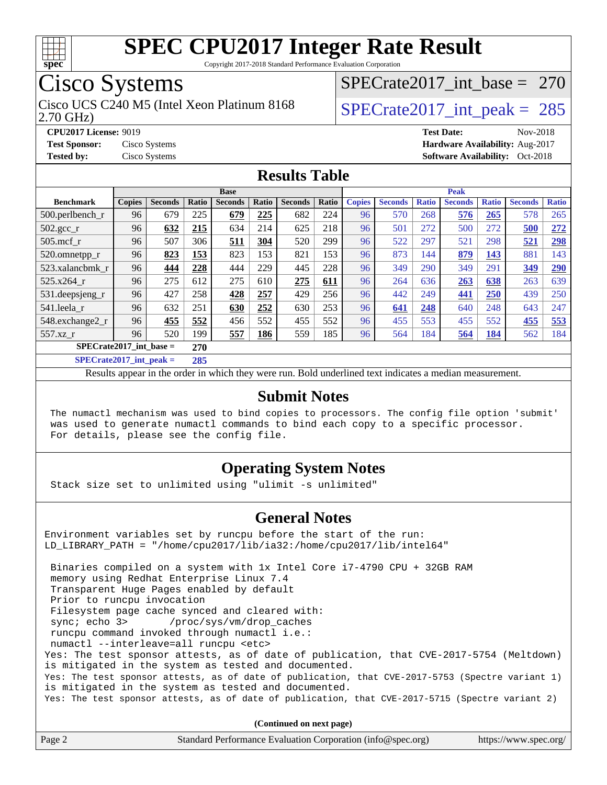

Copyright 2017-2018 Standard Performance Evaluation Corporation

## Cisco Systems

Cisco UCS C240 M5 (Intel Xeon Platinum 8168  $\vert$  [SPECrate2017\\_int\\_peak =](http://www.spec.org/auto/cpu2017/Docs/result-fields.html#SPECrate2017intpeak) 285

[SPECrate2017\\_int\\_base =](http://www.spec.org/auto/cpu2017/Docs/result-fields.html#SPECrate2017intbase) 270

2.70 GHz)

**[Tested by:](http://www.spec.org/auto/cpu2017/Docs/result-fields.html#Testedby)** Cisco Systems **Cisco Systems [Software Availability:](http://www.spec.org/auto/cpu2017/Docs/result-fields.html#SoftwareAvailability)** Oct-2018

**[CPU2017 License:](http://www.spec.org/auto/cpu2017/Docs/result-fields.html#CPU2017License)** 9019 **[Test Date:](http://www.spec.org/auto/cpu2017/Docs/result-fields.html#TestDate)** Nov-2018 **[Test Sponsor:](http://www.spec.org/auto/cpu2017/Docs/result-fields.html#TestSponsor)** Cisco Systems **[Hardware Availability:](http://www.spec.org/auto/cpu2017/Docs/result-fields.html#HardwareAvailability)** Aug-2017

#### **[Results Table](http://www.spec.org/auto/cpu2017/Docs/result-fields.html#ResultsTable)**

|                             |               |                |                         | <b>Base</b>    |       |                |       |               |                |              | <b>Peak</b>    |              |                |              |
|-----------------------------|---------------|----------------|-------------------------|----------------|-------|----------------|-------|---------------|----------------|--------------|----------------|--------------|----------------|--------------|
| <b>Benchmark</b>            | <b>Copies</b> | <b>Seconds</b> | Ratio                   | <b>Seconds</b> | Ratio | <b>Seconds</b> | Ratio | <b>Copies</b> | <b>Seconds</b> | <b>Ratio</b> | <b>Seconds</b> | <b>Ratio</b> | <b>Seconds</b> | <b>Ratio</b> |
| 500.perlbench_r             | 96            | 679            | 225                     | 679            | 225   | 682            | 224   | 96            | 570            | 268          | 576            | 265          | 578            | 265          |
| $502.\text{gcc\_r}$         | 96            | 632            | 215                     | 634            | 214   | 625            | 218   | 96            | 501            | 272          | 500            | 272          | 500            | 272          |
| 505.mcf r                   | 96            | 507            | 306                     | 511            | 304   | 520            | 299   | 96            | 522            | 297          | 521            | 298          | 521            | <u>298</u>   |
| 520.omnetpp_r               | 96            | 823            | 153                     | 823            | 153   | 821            | 153   | 96            | 873            | 144          | 879            | 143          | 881            | 143          |
| 523.xalancbmk_r             | 96            | 444            | 228                     | 444            | 229   | 445            | 228   | 96            | 349            | 290          | 349            | 291          | 349            | 290          |
| 525.x264 r                  | 96            | 275            | 612                     | 275            | 610   | 275            | 611   | 96            | 264            | 636          | 263            | 638          | 263            | 639          |
| 531.deepsjeng_r             | 96            | 427            | 258                     | 428            | 257   | 429            | 256   | 96            | 442            | 249          | 441            | 250          | 439            | 250          |
| 541.leela_r                 | 96            | 632            | 251                     | 630            | 252   | 630            | 253   | 96            | 641            | 248          | 640            | 248          | 643            | 247          |
| 548.exchange2_r             | 96            | 455            | 552                     | 456            | 552   | 455            | 552   | 96            | 455            | 553          | 455            | 552          | 455            | 553          |
| 557.xz r                    | 96            | 520            | 199                     | 557            | 186   | 559            | 185   | 96            | 564            | 184          | 564            | 184          | 562            | 184          |
| $SPECrate2017\_int\_base =$ |               |                | 270                     |                |       |                |       |               |                |              |                |              |                |              |
| $CDDCD = 1.4047 + 1.1$      |               |                | $\mathbf{A} \mathbf{A}$ |                |       |                |       |               |                |              |                |              |                |              |

**[SPECrate2017\\_int\\_peak =](http://www.spec.org/auto/cpu2017/Docs/result-fields.html#SPECrate2017intpeak) 285**

Results appear in the [order in which they were run](http://www.spec.org/auto/cpu2017/Docs/result-fields.html#RunOrder). Bold underlined text [indicates a median measurement](http://www.spec.org/auto/cpu2017/Docs/result-fields.html#Median).

#### **[Submit Notes](http://www.spec.org/auto/cpu2017/Docs/result-fields.html#SubmitNotes)**

 The numactl mechanism was used to bind copies to processors. The config file option 'submit' was used to generate numactl commands to bind each copy to a specific processor. For details, please see the config file.

#### **[Operating System Notes](http://www.spec.org/auto/cpu2017/Docs/result-fields.html#OperatingSystemNotes)**

Stack size set to unlimited using "ulimit -s unlimited"

#### **[General Notes](http://www.spec.org/auto/cpu2017/Docs/result-fields.html#GeneralNotes)**

Environment variables set by runcpu before the start of the run: LD\_LIBRARY\_PATH = "/home/cpu2017/lib/ia32:/home/cpu2017/lib/intel64"

 Binaries compiled on a system with 1x Intel Core i7-4790 CPU + 32GB RAM memory using Redhat Enterprise Linux 7.4 Transparent Huge Pages enabled by default Prior to runcpu invocation Filesystem page cache synced and cleared with: sync; echo 3> /proc/sys/vm/drop\_caches runcpu command invoked through numactl i.e.: numactl --interleave=all runcpu <etc> Yes: The test sponsor attests, as of date of publication, that CVE-2017-5754 (Meltdown) is mitigated in the system as tested and documented. Yes: The test sponsor attests, as of date of publication, that CVE-2017-5753 (Spectre variant 1) is mitigated in the system as tested and documented. Yes: The test sponsor attests, as of date of publication, that CVE-2017-5715 (Spectre variant 2)

**(Continued on next page)**

| Page 2 | Standard Performance Evaluation Corporation (info@spec.org) | https://www.spec.org/ |
|--------|-------------------------------------------------------------|-----------------------|
|        |                                                             |                       |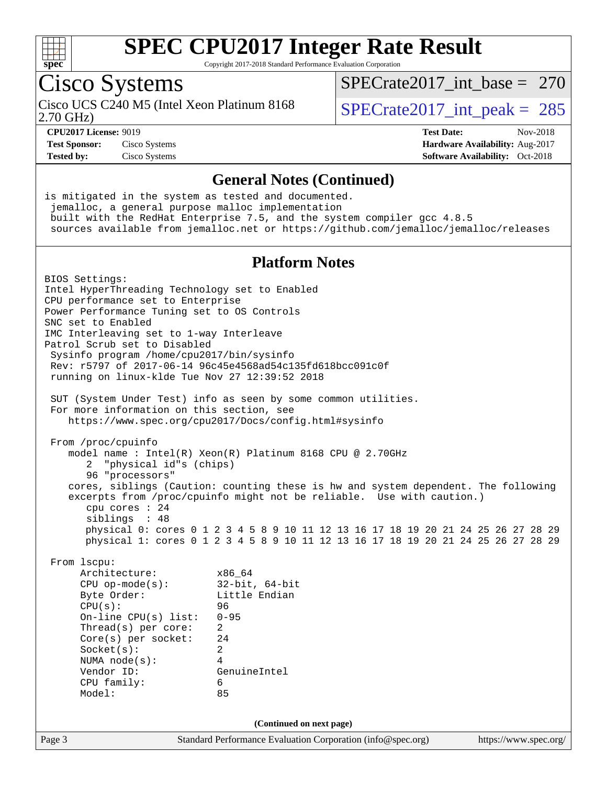

Copyright 2017-2018 Standard Performance Evaluation Corporation

### Cisco Systems

Cisco UCS C240 M5 (Intel Xeon Platinum 8168<br>2.70 GHz)

 $SPECTate 2017\_int\_peak = 285$ [SPECrate2017\\_int\\_base =](http://www.spec.org/auto/cpu2017/Docs/result-fields.html#SPECrate2017intbase) 270

**[Tested by:](http://www.spec.org/auto/cpu2017/Docs/result-fields.html#Testedby)** Cisco Systems **[Software Availability:](http://www.spec.org/auto/cpu2017/Docs/result-fields.html#SoftwareAvailability)** Oct-2018

**[CPU2017 License:](http://www.spec.org/auto/cpu2017/Docs/result-fields.html#CPU2017License)** 9019 **[Test Date:](http://www.spec.org/auto/cpu2017/Docs/result-fields.html#TestDate)** Nov-2018 **[Test Sponsor:](http://www.spec.org/auto/cpu2017/Docs/result-fields.html#TestSponsor)** Cisco Systems **[Hardware Availability:](http://www.spec.org/auto/cpu2017/Docs/result-fields.html#HardwareAvailability)** Aug-2017

#### **[General Notes \(Continued\)](http://www.spec.org/auto/cpu2017/Docs/result-fields.html#GeneralNotes)**

Page 3 Standard Performance Evaluation Corporation [\(info@spec.org\)](mailto:info@spec.org) <https://www.spec.org/> is mitigated in the system as tested and documented. jemalloc, a general purpose malloc implementation built with the RedHat Enterprise 7.5, and the system compiler gcc 4.8.5 sources available from jemalloc.net or <https://github.com/jemalloc/jemalloc/releases> **[Platform Notes](http://www.spec.org/auto/cpu2017/Docs/result-fields.html#PlatformNotes)** BIOS Settings: Intel HyperThreading Technology set to Enabled CPU performance set to Enterprise Power Performance Tuning set to OS Controls SNC set to Enabled IMC Interleaving set to 1-way Interleave Patrol Scrub set to Disabled Sysinfo program /home/cpu2017/bin/sysinfo Rev: r5797 of 2017-06-14 96c45e4568ad54c135fd618bcc091c0f running on linux-klde Tue Nov 27 12:39:52 2018 SUT (System Under Test) info as seen by some common utilities. For more information on this section, see <https://www.spec.org/cpu2017/Docs/config.html#sysinfo> From /proc/cpuinfo model name : Intel(R) Xeon(R) Platinum 8168 CPU @ 2.70GHz 2 "physical id"s (chips) 96 "processors" cores, siblings (Caution: counting these is hw and system dependent. The following excerpts from /proc/cpuinfo might not be reliable. Use with caution.) cpu cores : 24 siblings : 48 physical 0: cores 0 1 2 3 4 5 8 9 10 11 12 13 16 17 18 19 20 21 24 25 26 27 28 29 physical 1: cores 0 1 2 3 4 5 8 9 10 11 12 13 16 17 18 19 20 21 24 25 26 27 28 29 From lscpu: Architecture: x86\_64 CPU op-mode(s): 32-bit, 64-bit Byte Order: Little Endian CPU(s): 96 On-line CPU(s) list: 0-95 Thread(s) per core: 2 Core(s) per socket: 24 Socket(s): 2 NUMA node(s): 4 Vendor ID: GenuineIntel CPU family: 6 Model: 85 **(Continued on next page)**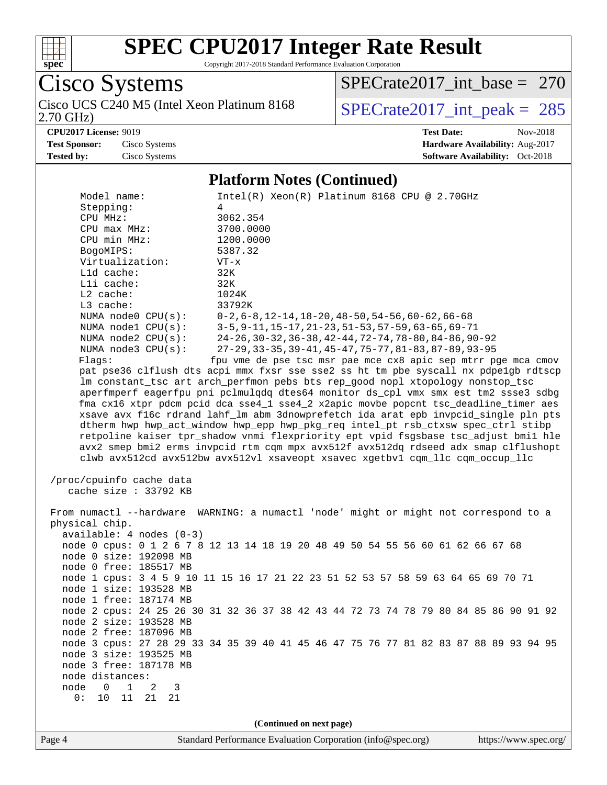

Copyright 2017-2018 Standard Performance Evaluation Corporation

Cisco Systems

2.70 GHz) Cisco UCS C240 M5 (Intel Xeon Platinum 8168  $SPECrate2017\_int\_peak = 285$ 

[SPECrate2017\\_int\\_base =](http://www.spec.org/auto/cpu2017/Docs/result-fields.html#SPECrate2017intbase) 270

**[CPU2017 License:](http://www.spec.org/auto/cpu2017/Docs/result-fields.html#CPU2017License)** 9019 **[Test Date:](http://www.spec.org/auto/cpu2017/Docs/result-fields.html#TestDate)** Nov-2018

**[Test Sponsor:](http://www.spec.org/auto/cpu2017/Docs/result-fields.html#TestSponsor)** Cisco Systems **[Hardware Availability:](http://www.spec.org/auto/cpu2017/Docs/result-fields.html#HardwareAvailability)** Aug-2017 **[Tested by:](http://www.spec.org/auto/cpu2017/Docs/result-fields.html#Testedby)** Cisco Systems **[Software Availability:](http://www.spec.org/auto/cpu2017/Docs/result-fields.html#SoftwareAvailability)** Oct-2018

#### **[Platform Notes \(Continued\)](http://www.spec.org/auto/cpu2017/Docs/result-fields.html#PlatformNotes)**

| Model name:                                | $Intel(R)$ Xeon $(R)$ Platinum 8168 CPU @ 2.70GHz                                    |
|--------------------------------------------|--------------------------------------------------------------------------------------|
| Stepping:                                  | 4                                                                                    |
| CPU MHz:                                   | 3062.354                                                                             |
|                                            |                                                                                      |
| $CPU$ $max$ $MHz$ :                        | 3700.0000                                                                            |
| CPU min MHz:                               | 1200.0000                                                                            |
| BogoMIPS:                                  | 5387.32                                                                              |
| Virtualization:                            | $VT - x$                                                                             |
| L1d cache:                                 | 32K                                                                                  |
| Lli cache:                                 | 32K                                                                                  |
| $L2$ cache:                                | 1024K                                                                                |
| L3 cache:                                  | 33792K                                                                               |
| NUMA node0 CPU(s):                         | $0-2, 6-8, 12-14, 18-20, 48-50, 54-56, 60-62, 66-68$                                 |
| NUMA $node1$ $CPU(s):$                     | 3-5, 9-11, 15-17, 21-23, 51-53, 57-59, 63-65, 69-71                                  |
| NUMA $node2$ $CPU(s):$                     | 24-26, 30-32, 36-38, 42-44, 72-74, 78-80, 84-86, 90-92                               |
| NUMA node3 CPU(s):                         | 27-29, 33-35, 39-41, 45-47, 75-77, 81-83, 87-89, 93-95                               |
| Flags:                                     | fpu vme de pse tsc msr pae mce cx8 apic sep mtrr pge mca cmov                        |
|                                            | pat pse36 clflush dts acpi mmx fxsr sse sse2 ss ht tm pbe syscall nx pdpelgb rdtscp  |
|                                            | lm constant_tsc art arch_perfmon pebs bts rep_good nopl xtopology nonstop_tsc        |
|                                            | aperfmperf eagerfpu pni pclmulqdq dtes64 monitor ds_cpl vmx smx est tm2 ssse3 sdbg   |
|                                            | fma cx16 xtpr pdcm pcid dca sse4_1 sse4_2 x2apic movbe popcnt tsc_deadline_timer aes |
|                                            | xsave avx f16c rdrand lahf_lm abm 3dnowprefetch ida arat epb invpcid_single pln pts  |
|                                            | dtherm hwp hwp_act_window hwp_epp hwp_pkg_req intel_pt rsb_ctxsw spec_ctrl stibp     |
|                                            | retpoline kaiser tpr_shadow vnmi flexpriority ept vpid fsgsbase tsc_adjust bmil hle  |
|                                            | avx2 smep bmi2 erms invpcid rtm cqm mpx avx512f avx512dq rdseed adx smap clflushopt  |
|                                            | clwb avx512cd avx512bw avx512vl xsaveopt xsavec xgetbvl cqm_llc cqm_occup_llc        |
|                                            |                                                                                      |
| /proc/cpuinfo cache data                   |                                                                                      |
| cache size $: 33792$ KB                    |                                                                                      |
|                                            |                                                                                      |
|                                            | From numactl --hardware WARNING: a numactl 'node' might or might not correspond to a |
| physical chip.                             |                                                                                      |
| $available: 4 nodes (0-3)$                 |                                                                                      |
|                                            | node 0 cpus: 0 1 2 6 7 8 12 13 14 18 19 20 48 49 50 54 55 56 60 61 62 66 67 68       |
| node 0 size: 192098 MB                     |                                                                                      |
| node 0 free: 185517 MB                     |                                                                                      |
|                                            | node 1 cpus: 3 4 5 9 10 11 15 16 17 21 22 23 51 52 53 57 58 59 63 64 65 69 70 71     |
| node 1 size: 193528 MB                     |                                                                                      |
| node 1 free: 187174 MB                     |                                                                                      |
|                                            | node 2 cpus: 24 25 26 30 31 32 36 37 38 42 43 44 72 73 74 78 79 80 84 85 86 90 91 92 |
| node 2 size: 193528 MB                     |                                                                                      |
| node 2 free: 187096 MB                     |                                                                                      |
|                                            | node 3 cpus: 27 28 29 33 34 35 39 40 41 45 46 47 75 76 77 81 82 83 87 88 89 93 94 95 |
| node 3 size: 193525 MB                     |                                                                                      |
| node 3 free: 187178 MB                     |                                                                                      |
| node distances:                            |                                                                                      |
| node<br>$\mathbf{1}$<br>$\Omega$<br>2<br>3 |                                                                                      |
| 0:<br>10<br>11<br>21<br>- 21               |                                                                                      |
|                                            |                                                                                      |
|                                            |                                                                                      |
|                                            | (Continued on next page)                                                             |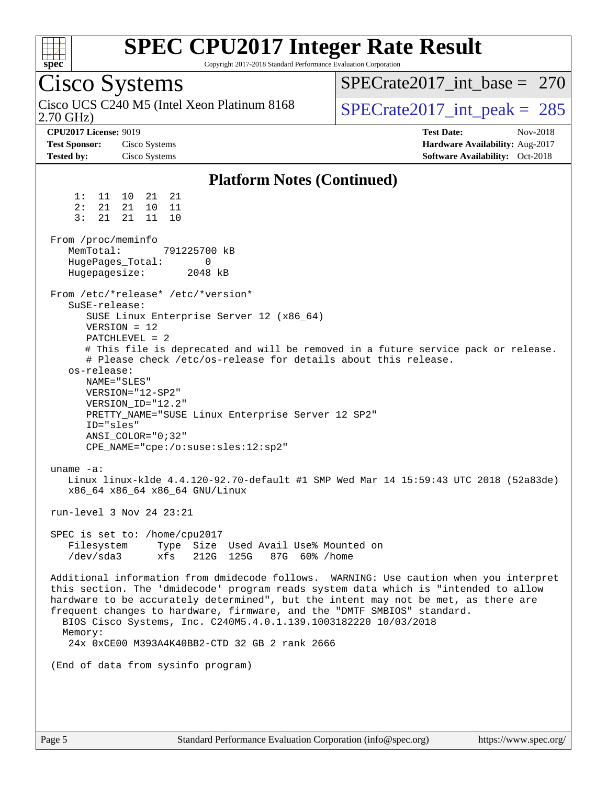

Copyright 2017-2018 Standard Performance Evaluation Corporation

Cisco Systems 2.70 GHz) Cisco UCS C240 M5 (Intel Xeon Platinum 8168  $\vert$  [SPECrate2017\\_int\\_peak =](http://www.spec.org/auto/cpu2017/Docs/result-fields.html#SPECrate2017intpeak) 285 [SPECrate2017\\_int\\_base =](http://www.spec.org/auto/cpu2017/Docs/result-fields.html#SPECrate2017intbase) 270 **[CPU2017 License:](http://www.spec.org/auto/cpu2017/Docs/result-fields.html#CPU2017License)** 9019 **[Test Date:](http://www.spec.org/auto/cpu2017/Docs/result-fields.html#TestDate)** Nov-2018 **[Test Sponsor:](http://www.spec.org/auto/cpu2017/Docs/result-fields.html#TestSponsor)** Cisco Systems **[Hardware Availability:](http://www.spec.org/auto/cpu2017/Docs/result-fields.html#HardwareAvailability)** Aug-2017 **[Tested by:](http://www.spec.org/auto/cpu2017/Docs/result-fields.html#Testedby)** Cisco Systems **[Software Availability:](http://www.spec.org/auto/cpu2017/Docs/result-fields.html#SoftwareAvailability)** Oct-2018 **[Platform Notes \(Continued\)](http://www.spec.org/auto/cpu2017/Docs/result-fields.html#PlatformNotes)** 1: 11 10 21 21 2: 21 21 10 11 3: 21 21 11 10 From /proc/meminfo MemTotal: 791225700 kB HugePages\_Total: 0 Hugepagesize: 2048 kB From /etc/\*release\* /etc/\*version\* SuSE-release: SUSE Linux Enterprise Server 12 (x86\_64) VERSION = 12  $PATCHI$  FVEL  $=$  2 # This file is deprecated and will be removed in a future service pack or release. # Please check /etc/os-release for details about this release. os-release: NAME="SLES" VERSION="12-SP2" VERSION\_ID="12.2" PRETTY\_NAME="SUSE Linux Enterprise Server 12 SP2" ID="sles" ANSI\_COLOR="0;32" CPE\_NAME="cpe:/o:suse:sles:12:sp2" uname -a: Linux linux-klde 4.4.120-92.70-default #1 SMP Wed Mar 14 15:59:43 UTC 2018 (52a83de) x86\_64 x86\_64 x86\_64 GNU/Linux run-level 3 Nov 24 23:21 SPEC is set to: /home/cpu2017 Filesystem Type Size Used Avail Use% Mounted on /dev/sda3 xfs 212G 125G 87G 60% /home Additional information from dmidecode follows. WARNING: Use caution when you interpret this section. The 'dmidecode' program reads system data which is "intended to allow hardware to be accurately determined", but the intent may not be met, as there are frequent changes to hardware, firmware, and the "DMTF SMBIOS" standard. BIOS Cisco Systems, Inc. C240M5.4.0.1.139.1003182220 10/03/2018 Memory: 24x 0xCE00 M393A4K40BB2-CTD 32 GB 2 rank 2666 (End of data from sysinfo program)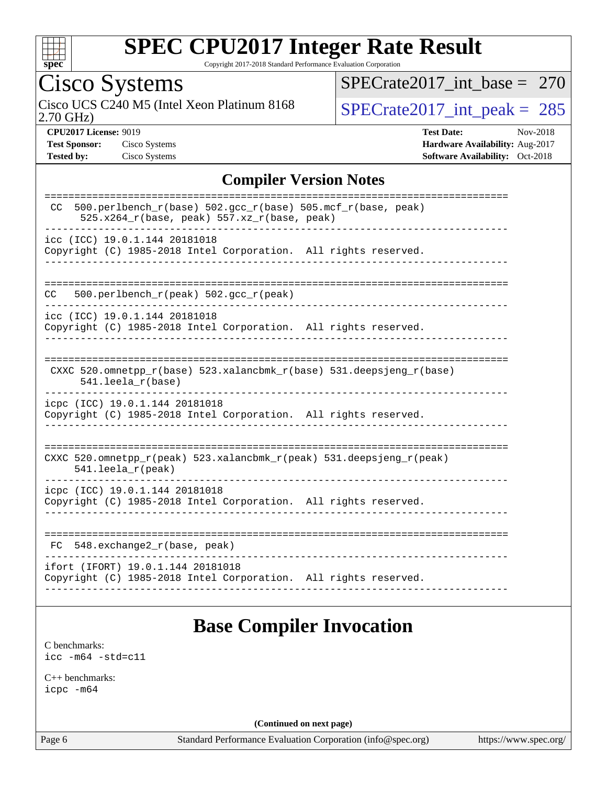

Copyright 2017-2018 Standard Performance Evaluation Corporation

## Cisco Systems

2.70 GHz) Cisco UCS C240 M5 (Intel Xeon Platinum 8168  $SPECrate2017\_int\_peak = 285$ 

[SPECrate2017\\_int\\_base =](http://www.spec.org/auto/cpu2017/Docs/result-fields.html#SPECrate2017intbase) 270

**[CPU2017 License:](http://www.spec.org/auto/cpu2017/Docs/result-fields.html#CPU2017License)** 9019 **[Test Date:](http://www.spec.org/auto/cpu2017/Docs/result-fields.html#TestDate)** Nov-2018 **[Test Sponsor:](http://www.spec.org/auto/cpu2017/Docs/result-fields.html#TestSponsor)** Cisco Systems **[Hardware Availability:](http://www.spec.org/auto/cpu2017/Docs/result-fields.html#HardwareAvailability)** Aug-2017 **[Tested by:](http://www.spec.org/auto/cpu2017/Docs/result-fields.html#Testedby)** Cisco Systems **[Software Availability:](http://www.spec.org/auto/cpu2017/Docs/result-fields.html#SoftwareAvailability)** Oct-2018

#### **[Compiler Version Notes](http://www.spec.org/auto/cpu2017/Docs/result-fields.html#CompilerVersionNotes)**

| 500.perlbench_r(base) 502.gcc_r(base) 505.mcf_r(base, peak)<br>CC<br>$525.x264_r(base, peak) 557.xz_r(base, peak)$<br>icc (ICC) 19.0.1.144 20181018<br>Copyright (C) 1985-2018 Intel Corporation. All rights reserved.<br>500.perlbench_r(peak) 502.gcc_r(peak)<br>CC<br>icc (ICC) 19.0.1.144 20181018<br>Copyright (C) 1985-2018 Intel Corporation. All rights reserved.<br>CXXC $520.\text{omnetpp_r(base)}$ $523.\text{xalancbmk_r(base)}$ $531.\text{deepsjeng_r(base)}$ |
|------------------------------------------------------------------------------------------------------------------------------------------------------------------------------------------------------------------------------------------------------------------------------------------------------------------------------------------------------------------------------------------------------------------------------------------------------------------------------|
|                                                                                                                                                                                                                                                                                                                                                                                                                                                                              |
|                                                                                                                                                                                                                                                                                                                                                                                                                                                                              |
|                                                                                                                                                                                                                                                                                                                                                                                                                                                                              |
|                                                                                                                                                                                                                                                                                                                                                                                                                                                                              |
| $541.$ leela $r(base)$                                                                                                                                                                                                                                                                                                                                                                                                                                                       |
| icpc (ICC) 19.0.1.144 20181018<br>Copyright (C) 1985-2018 Intel Corporation. All rights reserved.                                                                                                                                                                                                                                                                                                                                                                            |
| CXXC 520.omnetpp_r(peak) 523.xalancbmk_r(peak) 531.deepsjeng_r(peak)<br>$541.$ leela_r(peak)                                                                                                                                                                                                                                                                                                                                                                                 |
| icpc (ICC) 19.0.1.144 20181018<br>Copyright (C) 1985-2018 Intel Corporation. All rights reserved.                                                                                                                                                                                                                                                                                                                                                                            |
| 548.exchange2_r(base, peak)<br>FC.                                                                                                                                                                                                                                                                                                                                                                                                                                           |
| ifort (IFORT) 19.0.1.144 20181018<br>Copyright (C) 1985-2018 Intel Corporation. All rights reserved.                                                                                                                                                                                                                                                                                                                                                                         |

### **[Base Compiler Invocation](http://www.spec.org/auto/cpu2017/Docs/result-fields.html#BaseCompilerInvocation)**

[C benchmarks](http://www.spec.org/auto/cpu2017/Docs/result-fields.html#Cbenchmarks): [icc -m64 -std=c11](http://www.spec.org/cpu2017/results/res2018q4/cpu2017-20181211-10241.flags.html#user_CCbase_intel_icc_64bit_c11_33ee0cdaae7deeeab2a9725423ba97205ce30f63b9926c2519791662299b76a0318f32ddfffdc46587804de3178b4f9328c46fa7c2b0cd779d7a61945c91cd35)

[C++ benchmarks:](http://www.spec.org/auto/cpu2017/Docs/result-fields.html#CXXbenchmarks) [icpc -m64](http://www.spec.org/cpu2017/results/res2018q4/cpu2017-20181211-10241.flags.html#user_CXXbase_intel_icpc_64bit_4ecb2543ae3f1412ef961e0650ca070fec7b7afdcd6ed48761b84423119d1bf6bdf5cad15b44d48e7256388bc77273b966e5eb805aefd121eb22e9299b2ec9d9)

**(Continued on next page)**

Page 6 Standard Performance Evaluation Corporation [\(info@spec.org\)](mailto:info@spec.org) <https://www.spec.org/>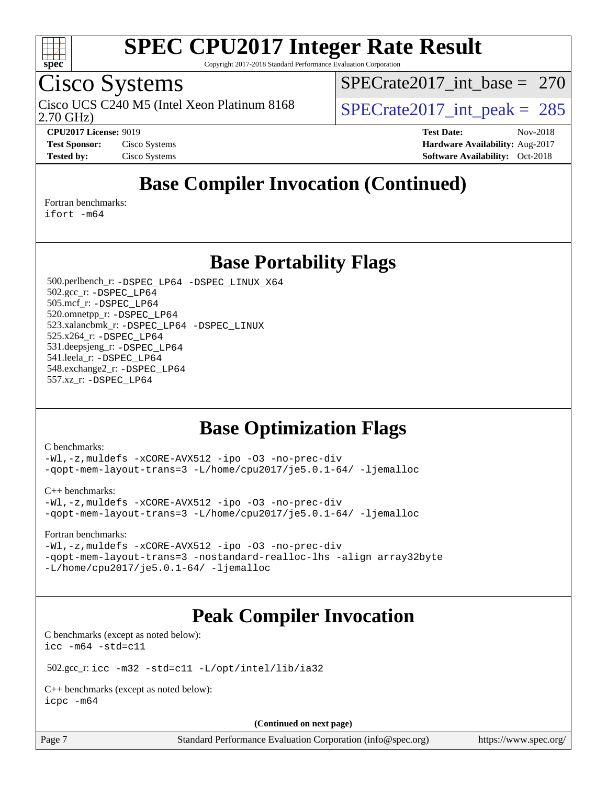

Copyright 2017-2018 Standard Performance Evaluation Corporation

### Cisco Systems

2.70 GHz) Cisco UCS C240 M5 (Intel Xeon Platinum 8168  $\vert$  [SPECrate2017\\_int\\_peak =](http://www.spec.org/auto/cpu2017/Docs/result-fields.html#SPECrate2017intpeak) 285

[SPECrate2017\\_int\\_base =](http://www.spec.org/auto/cpu2017/Docs/result-fields.html#SPECrate2017intbase) 270

**[CPU2017 License:](http://www.spec.org/auto/cpu2017/Docs/result-fields.html#CPU2017License)** 9019 **[Test Date:](http://www.spec.org/auto/cpu2017/Docs/result-fields.html#TestDate)** Nov-2018 **[Test Sponsor:](http://www.spec.org/auto/cpu2017/Docs/result-fields.html#TestSponsor)** Cisco Systems **Cisco Systems [Hardware Availability:](http://www.spec.org/auto/cpu2017/Docs/result-fields.html#HardwareAvailability)** Aug-2017 **[Tested by:](http://www.spec.org/auto/cpu2017/Docs/result-fields.html#Testedby)** Cisco Systems **[Software Availability:](http://www.spec.org/auto/cpu2017/Docs/result-fields.html#SoftwareAvailability)** Oct-2018

### **[Base Compiler Invocation \(Continued\)](http://www.spec.org/auto/cpu2017/Docs/result-fields.html#BaseCompilerInvocation)**

[Fortran benchmarks](http://www.spec.org/auto/cpu2017/Docs/result-fields.html#Fortranbenchmarks):

[ifort -m64](http://www.spec.org/cpu2017/results/res2018q4/cpu2017-20181211-10241.flags.html#user_FCbase_intel_ifort_64bit_24f2bb282fbaeffd6157abe4f878425411749daecae9a33200eee2bee2fe76f3b89351d69a8130dd5949958ce389cf37ff59a95e7a40d588e8d3a57e0c3fd751)

**[Base Portability Flags](http://www.spec.org/auto/cpu2017/Docs/result-fields.html#BasePortabilityFlags)**

 500.perlbench\_r: [-DSPEC\\_LP64](http://www.spec.org/cpu2017/results/res2018q4/cpu2017-20181211-10241.flags.html#b500.perlbench_r_basePORTABILITY_DSPEC_LP64) [-DSPEC\\_LINUX\\_X64](http://www.spec.org/cpu2017/results/res2018q4/cpu2017-20181211-10241.flags.html#b500.perlbench_r_baseCPORTABILITY_DSPEC_LINUX_X64) 502.gcc\_r: [-DSPEC\\_LP64](http://www.spec.org/cpu2017/results/res2018q4/cpu2017-20181211-10241.flags.html#suite_basePORTABILITY502_gcc_r_DSPEC_LP64) 505.mcf\_r: [-DSPEC\\_LP64](http://www.spec.org/cpu2017/results/res2018q4/cpu2017-20181211-10241.flags.html#suite_basePORTABILITY505_mcf_r_DSPEC_LP64) 520.omnetpp\_r: [-DSPEC\\_LP64](http://www.spec.org/cpu2017/results/res2018q4/cpu2017-20181211-10241.flags.html#suite_basePORTABILITY520_omnetpp_r_DSPEC_LP64) 523.xalancbmk\_r: [-DSPEC\\_LP64](http://www.spec.org/cpu2017/results/res2018q4/cpu2017-20181211-10241.flags.html#suite_basePORTABILITY523_xalancbmk_r_DSPEC_LP64) [-DSPEC\\_LINUX](http://www.spec.org/cpu2017/results/res2018q4/cpu2017-20181211-10241.flags.html#b523.xalancbmk_r_baseCXXPORTABILITY_DSPEC_LINUX) 525.x264\_r: [-DSPEC\\_LP64](http://www.spec.org/cpu2017/results/res2018q4/cpu2017-20181211-10241.flags.html#suite_basePORTABILITY525_x264_r_DSPEC_LP64) 531.deepsjeng\_r: [-DSPEC\\_LP64](http://www.spec.org/cpu2017/results/res2018q4/cpu2017-20181211-10241.flags.html#suite_basePORTABILITY531_deepsjeng_r_DSPEC_LP64) 541.leela\_r: [-DSPEC\\_LP64](http://www.spec.org/cpu2017/results/res2018q4/cpu2017-20181211-10241.flags.html#suite_basePORTABILITY541_leela_r_DSPEC_LP64) 548.exchange2\_r: [-DSPEC\\_LP64](http://www.spec.org/cpu2017/results/res2018q4/cpu2017-20181211-10241.flags.html#suite_basePORTABILITY548_exchange2_r_DSPEC_LP64) 557.xz\_r: [-DSPEC\\_LP64](http://www.spec.org/cpu2017/results/res2018q4/cpu2017-20181211-10241.flags.html#suite_basePORTABILITY557_xz_r_DSPEC_LP64)

### **[Base Optimization Flags](http://www.spec.org/auto/cpu2017/Docs/result-fields.html#BaseOptimizationFlags)**

[C benchmarks](http://www.spec.org/auto/cpu2017/Docs/result-fields.html#Cbenchmarks):

[-Wl,-z,muldefs](http://www.spec.org/cpu2017/results/res2018q4/cpu2017-20181211-10241.flags.html#user_CCbase_link_force_multiple1_b4cbdb97b34bdee9ceefcfe54f4c8ea74255f0b02a4b23e853cdb0e18eb4525ac79b5a88067c842dd0ee6996c24547a27a4b99331201badda8798ef8a743f577) [-xCORE-AVX512](http://www.spec.org/cpu2017/results/res2018q4/cpu2017-20181211-10241.flags.html#user_CCbase_f-xCORE-AVX512) [-ipo](http://www.spec.org/cpu2017/results/res2018q4/cpu2017-20181211-10241.flags.html#user_CCbase_f-ipo) [-O3](http://www.spec.org/cpu2017/results/res2018q4/cpu2017-20181211-10241.flags.html#user_CCbase_f-O3) [-no-prec-div](http://www.spec.org/cpu2017/results/res2018q4/cpu2017-20181211-10241.flags.html#user_CCbase_f-no-prec-div) [-qopt-mem-layout-trans=3](http://www.spec.org/cpu2017/results/res2018q4/cpu2017-20181211-10241.flags.html#user_CCbase_f-qopt-mem-layout-trans_de80db37974c74b1f0e20d883f0b675c88c3b01e9d123adea9b28688d64333345fb62bc4a798493513fdb68f60282f9a726aa07f478b2f7113531aecce732043) [-L/home/cpu2017/je5.0.1-64/](http://www.spec.org/cpu2017/results/res2018q4/cpu2017-20181211-10241.flags.html#user_CCbase_jemalloc_link_path64_8e927a5f1bdac0405e66c637541874330e08086b5e62a1d024bcf3497e3c64fd173c8afb7d1730d51f6da781ef4c439bdab468bb8364cf71435e0c609fac500c) [-ljemalloc](http://www.spec.org/cpu2017/results/res2018q4/cpu2017-20181211-10241.flags.html#user_CCbase_jemalloc_link_lib_d1249b907c500fa1c0672f44f562e3d0f79738ae9e3c4a9c376d49f265a04b9c99b167ecedbf6711b3085be911c67ff61f150a17b3472be731631ba4d0471706)

[C++ benchmarks:](http://www.spec.org/auto/cpu2017/Docs/result-fields.html#CXXbenchmarks)

[-Wl,-z,muldefs](http://www.spec.org/cpu2017/results/res2018q4/cpu2017-20181211-10241.flags.html#user_CXXbase_link_force_multiple1_b4cbdb97b34bdee9ceefcfe54f4c8ea74255f0b02a4b23e853cdb0e18eb4525ac79b5a88067c842dd0ee6996c24547a27a4b99331201badda8798ef8a743f577) [-xCORE-AVX512](http://www.spec.org/cpu2017/results/res2018q4/cpu2017-20181211-10241.flags.html#user_CXXbase_f-xCORE-AVX512) [-ipo](http://www.spec.org/cpu2017/results/res2018q4/cpu2017-20181211-10241.flags.html#user_CXXbase_f-ipo) [-O3](http://www.spec.org/cpu2017/results/res2018q4/cpu2017-20181211-10241.flags.html#user_CXXbase_f-O3) [-no-prec-div](http://www.spec.org/cpu2017/results/res2018q4/cpu2017-20181211-10241.flags.html#user_CXXbase_f-no-prec-div) [-qopt-mem-layout-trans=3](http://www.spec.org/cpu2017/results/res2018q4/cpu2017-20181211-10241.flags.html#user_CXXbase_f-qopt-mem-layout-trans_de80db37974c74b1f0e20d883f0b675c88c3b01e9d123adea9b28688d64333345fb62bc4a798493513fdb68f60282f9a726aa07f478b2f7113531aecce732043) [-L/home/cpu2017/je5.0.1-64/](http://www.spec.org/cpu2017/results/res2018q4/cpu2017-20181211-10241.flags.html#user_CXXbase_jemalloc_link_path64_8e927a5f1bdac0405e66c637541874330e08086b5e62a1d024bcf3497e3c64fd173c8afb7d1730d51f6da781ef4c439bdab468bb8364cf71435e0c609fac500c) [-ljemalloc](http://www.spec.org/cpu2017/results/res2018q4/cpu2017-20181211-10241.flags.html#user_CXXbase_jemalloc_link_lib_d1249b907c500fa1c0672f44f562e3d0f79738ae9e3c4a9c376d49f265a04b9c99b167ecedbf6711b3085be911c67ff61f150a17b3472be731631ba4d0471706)

[Fortran benchmarks](http://www.spec.org/auto/cpu2017/Docs/result-fields.html#Fortranbenchmarks):

[-Wl,-z,muldefs](http://www.spec.org/cpu2017/results/res2018q4/cpu2017-20181211-10241.flags.html#user_FCbase_link_force_multiple1_b4cbdb97b34bdee9ceefcfe54f4c8ea74255f0b02a4b23e853cdb0e18eb4525ac79b5a88067c842dd0ee6996c24547a27a4b99331201badda8798ef8a743f577) [-xCORE-AVX512](http://www.spec.org/cpu2017/results/res2018q4/cpu2017-20181211-10241.flags.html#user_FCbase_f-xCORE-AVX512) [-ipo](http://www.spec.org/cpu2017/results/res2018q4/cpu2017-20181211-10241.flags.html#user_FCbase_f-ipo) [-O3](http://www.spec.org/cpu2017/results/res2018q4/cpu2017-20181211-10241.flags.html#user_FCbase_f-O3) [-no-prec-div](http://www.spec.org/cpu2017/results/res2018q4/cpu2017-20181211-10241.flags.html#user_FCbase_f-no-prec-div) [-qopt-mem-layout-trans=3](http://www.spec.org/cpu2017/results/res2018q4/cpu2017-20181211-10241.flags.html#user_FCbase_f-qopt-mem-layout-trans_de80db37974c74b1f0e20d883f0b675c88c3b01e9d123adea9b28688d64333345fb62bc4a798493513fdb68f60282f9a726aa07f478b2f7113531aecce732043) [-nostandard-realloc-lhs](http://www.spec.org/cpu2017/results/res2018q4/cpu2017-20181211-10241.flags.html#user_FCbase_f_2003_std_realloc_82b4557e90729c0f113870c07e44d33d6f5a304b4f63d4c15d2d0f1fab99f5daaed73bdb9275d9ae411527f28b936061aa8b9c8f2d63842963b95c9dd6426b8a) [-align array32byte](http://www.spec.org/cpu2017/results/res2018q4/cpu2017-20181211-10241.flags.html#user_FCbase_align_array32byte_b982fe038af199962ba9a80c053b8342c548c85b40b8e86eb3cc33dee0d7986a4af373ac2d51c3f7cf710a18d62fdce2948f201cd044323541f22fc0fffc51b6) [-L/home/cpu2017/je5.0.1-64/](http://www.spec.org/cpu2017/results/res2018q4/cpu2017-20181211-10241.flags.html#user_FCbase_jemalloc_link_path64_8e927a5f1bdac0405e66c637541874330e08086b5e62a1d024bcf3497e3c64fd173c8afb7d1730d51f6da781ef4c439bdab468bb8364cf71435e0c609fac500c) [-ljemalloc](http://www.spec.org/cpu2017/results/res2018q4/cpu2017-20181211-10241.flags.html#user_FCbase_jemalloc_link_lib_d1249b907c500fa1c0672f44f562e3d0f79738ae9e3c4a9c376d49f265a04b9c99b167ecedbf6711b3085be911c67ff61f150a17b3472be731631ba4d0471706)

### **[Peak Compiler Invocation](http://www.spec.org/auto/cpu2017/Docs/result-fields.html#PeakCompilerInvocation)**

[C benchmarks \(except as noted below\)](http://www.spec.org/auto/cpu2017/Docs/result-fields.html#Cbenchmarksexceptasnotedbelow): [icc -m64 -std=c11](http://www.spec.org/cpu2017/results/res2018q4/cpu2017-20181211-10241.flags.html#user_CCpeak_intel_icc_64bit_c11_33ee0cdaae7deeeab2a9725423ba97205ce30f63b9926c2519791662299b76a0318f32ddfffdc46587804de3178b4f9328c46fa7c2b0cd779d7a61945c91cd35)

502.gcc\_r: [icc -m32 -std=c11 -L/opt/intel/lib/ia32](http://www.spec.org/cpu2017/results/res2018q4/cpu2017-20181211-10241.flags.html#user_peakCCLD502_gcc_r_intel_icc_ba8be3d1ddcd8fa690d221d86b97d5980848a6fc7befb72d2aae7f265697ba3b80fdc9e77889232674508f6cf7fae229a8f479c4e0ca8921041dee8e2ca22d98)

[C++ benchmarks \(except as noted below\):](http://www.spec.org/auto/cpu2017/Docs/result-fields.html#CXXbenchmarksexceptasnotedbelow) [icpc -m64](http://www.spec.org/cpu2017/results/res2018q4/cpu2017-20181211-10241.flags.html#user_CXXpeak_intel_icpc_64bit_4ecb2543ae3f1412ef961e0650ca070fec7b7afdcd6ed48761b84423119d1bf6bdf5cad15b44d48e7256388bc77273b966e5eb805aefd121eb22e9299b2ec9d9)

**(Continued on next page)**

Page 7 Standard Performance Evaluation Corporation [\(info@spec.org\)](mailto:info@spec.org) <https://www.spec.org/>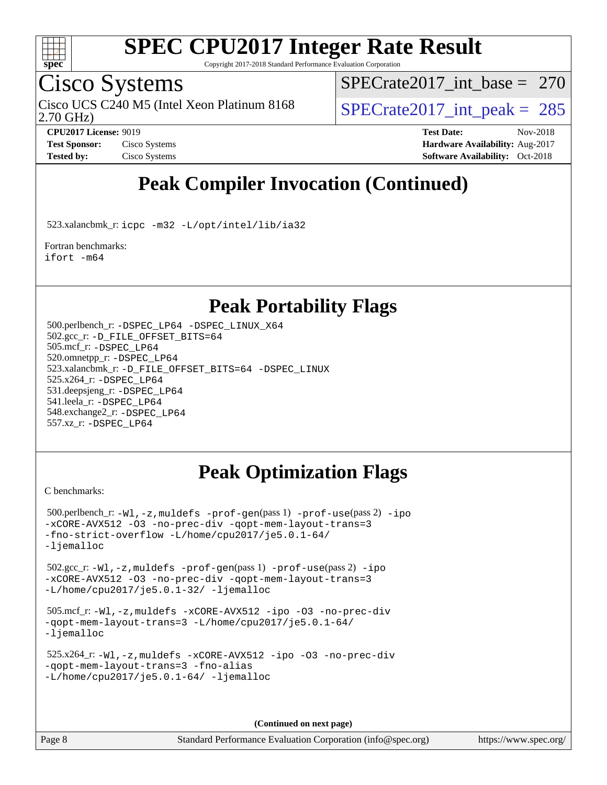

Copyright 2017-2018 Standard Performance Evaluation Corporation

### Cisco Systems

2.70 GHz) Cisco UCS C240 M5 (Intel Xeon Platinum 8168  $\vert$  [SPECrate2017\\_int\\_peak =](http://www.spec.org/auto/cpu2017/Docs/result-fields.html#SPECrate2017intpeak) 285

[SPECrate2017\\_int\\_base =](http://www.spec.org/auto/cpu2017/Docs/result-fields.html#SPECrate2017intbase) 270

**[CPU2017 License:](http://www.spec.org/auto/cpu2017/Docs/result-fields.html#CPU2017License)** 9019 **[Test Date:](http://www.spec.org/auto/cpu2017/Docs/result-fields.html#TestDate)** Nov-2018 **[Test Sponsor:](http://www.spec.org/auto/cpu2017/Docs/result-fields.html#TestSponsor)** Cisco Systems **Cisco Systems [Hardware Availability:](http://www.spec.org/auto/cpu2017/Docs/result-fields.html#HardwareAvailability)** Aug-2017 **[Tested by:](http://www.spec.org/auto/cpu2017/Docs/result-fields.html#Testedby)** Cisco Systems **[Software Availability:](http://www.spec.org/auto/cpu2017/Docs/result-fields.html#SoftwareAvailability)** Oct-2018

### **[Peak Compiler Invocation \(Continued\)](http://www.spec.org/auto/cpu2017/Docs/result-fields.html#PeakCompilerInvocation)**

523.xalancbmk\_r: [icpc -m32 -L/opt/intel/lib/ia32](http://www.spec.org/cpu2017/results/res2018q4/cpu2017-20181211-10241.flags.html#user_peakCXXLD523_xalancbmk_r_intel_icpc_44eae83c1f565e7e266431f067370024ba26559400a3332485578bf716e23841c734f948145e944e2f4b6f3ce32c2c966ea92b66ca79c6f94f301242c0f554cf)

[Fortran benchmarks](http://www.spec.org/auto/cpu2017/Docs/result-fields.html#Fortranbenchmarks): [ifort -m64](http://www.spec.org/cpu2017/results/res2018q4/cpu2017-20181211-10241.flags.html#user_FCpeak_intel_ifort_64bit_24f2bb282fbaeffd6157abe4f878425411749daecae9a33200eee2bee2fe76f3b89351d69a8130dd5949958ce389cf37ff59a95e7a40d588e8d3a57e0c3fd751)

#### **[Peak Portability Flags](http://www.spec.org/auto/cpu2017/Docs/result-fields.html#PeakPortabilityFlags)**

 500.perlbench\_r: [-DSPEC\\_LP64](http://www.spec.org/cpu2017/results/res2018q4/cpu2017-20181211-10241.flags.html#b500.perlbench_r_peakPORTABILITY_DSPEC_LP64) [-DSPEC\\_LINUX\\_X64](http://www.spec.org/cpu2017/results/res2018q4/cpu2017-20181211-10241.flags.html#b500.perlbench_r_peakCPORTABILITY_DSPEC_LINUX_X64) 502.gcc\_r: [-D\\_FILE\\_OFFSET\\_BITS=64](http://www.spec.org/cpu2017/results/res2018q4/cpu2017-20181211-10241.flags.html#user_peakPORTABILITY502_gcc_r_file_offset_bits_64_5ae949a99b284ddf4e95728d47cb0843d81b2eb0e18bdfe74bbf0f61d0b064f4bda2f10ea5eb90e1dcab0e84dbc592acfc5018bc955c18609f94ddb8d550002c) 505.mcf\_r: [-DSPEC\\_LP64](http://www.spec.org/cpu2017/results/res2018q4/cpu2017-20181211-10241.flags.html#suite_peakPORTABILITY505_mcf_r_DSPEC_LP64) 520.omnetpp\_r: [-DSPEC\\_LP64](http://www.spec.org/cpu2017/results/res2018q4/cpu2017-20181211-10241.flags.html#suite_peakPORTABILITY520_omnetpp_r_DSPEC_LP64) 523.xalancbmk\_r: [-D\\_FILE\\_OFFSET\\_BITS=64](http://www.spec.org/cpu2017/results/res2018q4/cpu2017-20181211-10241.flags.html#user_peakPORTABILITY523_xalancbmk_r_file_offset_bits_64_5ae949a99b284ddf4e95728d47cb0843d81b2eb0e18bdfe74bbf0f61d0b064f4bda2f10ea5eb90e1dcab0e84dbc592acfc5018bc955c18609f94ddb8d550002c) [-DSPEC\\_LINUX](http://www.spec.org/cpu2017/results/res2018q4/cpu2017-20181211-10241.flags.html#b523.xalancbmk_r_peakCXXPORTABILITY_DSPEC_LINUX) 525.x264\_r: [-DSPEC\\_LP64](http://www.spec.org/cpu2017/results/res2018q4/cpu2017-20181211-10241.flags.html#suite_peakPORTABILITY525_x264_r_DSPEC_LP64) 531.deepsjeng\_r: [-DSPEC\\_LP64](http://www.spec.org/cpu2017/results/res2018q4/cpu2017-20181211-10241.flags.html#suite_peakPORTABILITY531_deepsjeng_r_DSPEC_LP64) 541.leela\_r: [-DSPEC\\_LP64](http://www.spec.org/cpu2017/results/res2018q4/cpu2017-20181211-10241.flags.html#suite_peakPORTABILITY541_leela_r_DSPEC_LP64) 548.exchange2\_r: [-DSPEC\\_LP64](http://www.spec.org/cpu2017/results/res2018q4/cpu2017-20181211-10241.flags.html#suite_peakPORTABILITY548_exchange2_r_DSPEC_LP64) 557.xz\_r: [-DSPEC\\_LP64](http://www.spec.org/cpu2017/results/res2018q4/cpu2017-20181211-10241.flags.html#suite_peakPORTABILITY557_xz_r_DSPEC_LP64)

### **[Peak Optimization Flags](http://www.spec.org/auto/cpu2017/Docs/result-fields.html#PeakOptimizationFlags)**

[C benchmarks](http://www.spec.org/auto/cpu2017/Docs/result-fields.html#Cbenchmarks):

```
 500.perlbench_r: -Wl,-z,muldefs -prof-gen(pass 1) -prof-use(pass 2) -ipo
-xCORE-AVX512 -O3 -no-prec-div -qopt-mem-layout-trans=3
-fno-strict-overflow -L/home/cpu2017/je5.0.1-64/
-ljemalloc
 502.gcc_r: -Wl,-z,muldefs -prof-gen(pass 1) -prof-use(pass 2) -ipo
-xCORE-AVX512 -O3 -no-prec-div -qopt-mem-layout-trans=3
-L/home/cpu2017/je5.0.1-32/ -ljemalloc
 505.mcf_r: -Wl,-z,muldefs -xCORE-AVX512 -ipo -O3 -no-prec-div
-qopt-mem-layout-trans=3 -L/home/cpu2017/je5.0.1-64/
-ljemalloc
 525.x264_r: -Wl,-z,muldefs -xCORE-AVX512 -ipo -O3 -no-prec-div
-qopt-mem-layout-trans=3 -fno-alias
-L/home/cpu2017/je5.0.1-64/-ljemalloc
```
**(Continued on next page)**